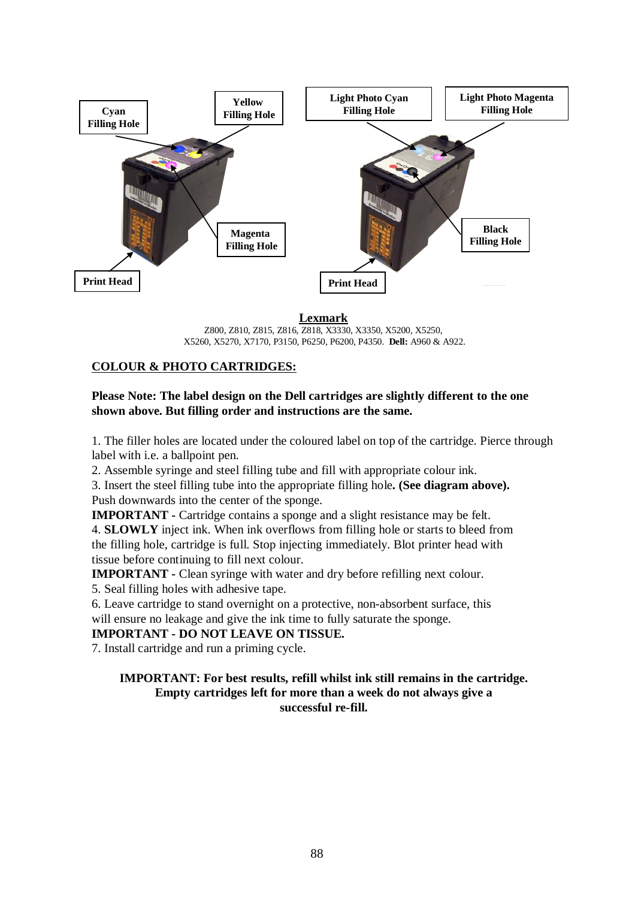

**Lexmark**

Z800, Z810, Z815, Z816, Z818, X3330, X3350, X5200, X5250, X5260, X5270, X7170, P3150, P6250, P6200, P4350. **Dell:** A960 & A922.

# **COLOUR & PHOTO CARTRIDGES:**

### **Please Note: The label design on the Dell cartridges are slightly different to the one shown above. But filling order and instructions are the same.**

1. The filler holes are located under the coloured label on top of the cartridge. Pierce through label with i.e. a ballpoint pen.

2. Assemble syringe and steel filling tube and fill with appropriate colour ink.

3. Insert the steel filling tube into the appropriate filling hole**. (See diagram above).** Push downwards into the center of the sponge.

**IMPORTANT -** Cartridge contains a sponge and a slight resistance may be felt.

4. **SLOWLY** inject ink. When ink overflows from filling hole or starts to bleed from the filling hole, cartridge is full. Stop injecting immediately. Blot printer head with tissue before continuing to fill next colour.

**IMPORTANT -** Clean syringe with water and dry before refilling next colour.

5. Seal filling holes with adhesive tape.

6. Leave cartridge to stand overnight on a protective, non-absorbent surface, this will ensure no leakage and give the ink time to fully saturate the sponge.

**IMPORTANT - DO NOT LEAVE ON TISSUE.**

7. Install cartridge and run a priming cycle.

#### **IMPORTANT: For best results, refill whilst ink still remains in the cartridge. Empty cartridges left for more than a week do not always give a successful re-fill.**